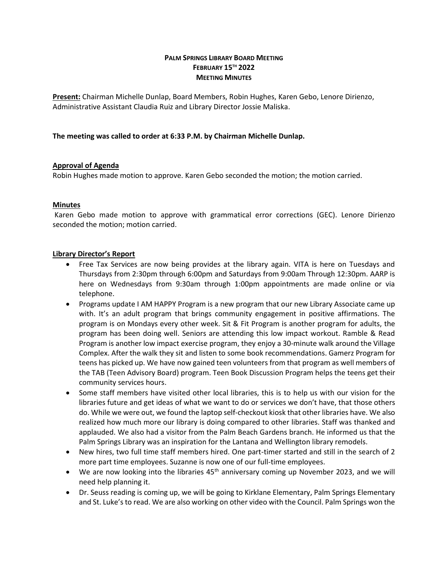# **PALM SPRINGS LIBRARY BOARD MEETING FEBRUARY 15TH 2022 MEETING MINUTES**

**Present:** Chairman Michelle Dunlap, Board Members, Robin Hughes, Karen Gebo, Lenore Dirienzo, Administrative Assistant Claudia Ruiz and Library Director Jossie Maliska.

#### **The meeting was called to order at 6:33 P.M. by Chairman Michelle Dunlap.**

#### **Approval of Agenda**

Robin Hughes made motion to approve. Karen Gebo seconded the motion; the motion carried.

# **Minutes**

Karen Gebo made motion to approve with grammatical error corrections (GEC). Lenore Dirienzo seconded the motion; motion carried.

#### **Library Director's Report**

- Free Tax Services are now being provides at the library again. VITA is here on Tuesdays and Thursdays from 2:30pm through 6:00pm and Saturdays from 9:00am Through 12:30pm. AARP is here on Wednesdays from 9:30am through 1:00pm appointments are made online or via telephone.
- Programs update I AM HAPPY Program is a new program that our new Library Associate came up with. It's an adult program that brings community engagement in positive affirmations. The program is on Mondays every other week. Sit & Fit Program is another program for adults, the program has been doing well. Seniors are attending this low impact workout. Ramble & Read Program is another low impact exercise program, they enjoy a 30-minute walk around the Village Complex. After the walk they sit and listen to some book recommendations. Gamerz Program for teens has picked up. We have now gained teen volunteers from that program as well members of the TAB (Teen Advisory Board) program. Teen Book Discussion Program helps the teens get their community services hours.
- Some staff members have visited other local libraries, this is to help us with our vision for the libraries future and get ideas of what we want to do or services we don't have, that those others do. While we were out, we found the laptop self-checkout kiosk that other libraries have. We also realized how much more our library is doing compared to other libraries. Staff was thanked and applauded. We also had a visitor from the Palm Beach Gardens branch. He informed us that the Palm Springs Library was an inspiration for the Lantana and Wellington library remodels.
- New hires, two full time staff members hired. One part-timer started and still in the search of 2 more part time employees. Suzanne is now one of our full-time employees.
- We are now looking into the libraries  $45<sup>th</sup>$  anniversary coming up November 2023, and we will need help planning it.
- Dr. Seuss reading is coming up, we will be going to Kirklane Elementary, Palm Springs Elementary and St. Luke's to read. We are also working on other video with the Council. Palm Springs won the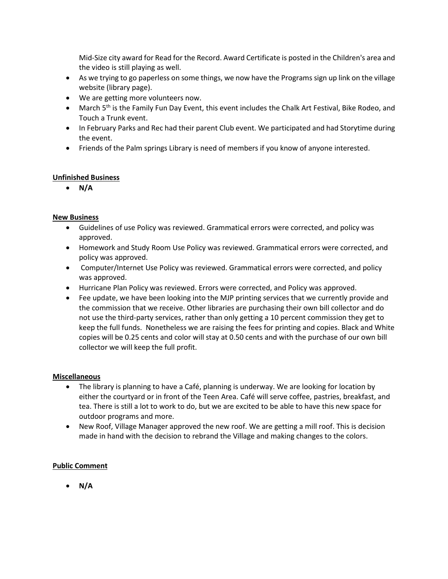Mid-Size city award for Read for the Record. Award Certificate is posted in the Children's area and the video is still playing as well.

- As we trying to go paperless on some things, we now have the Programs sign up link on the village website (library page).
- We are getting more volunteers now.
- March 5<sup>th</sup> is the Family Fun Day Event, this event includes the Chalk Art Festival, Bike Rodeo, and Touch a Trunk event.
- In February Parks and Rec had their parent Club event. We participated and had Storytime during the event.
- Friends of the Palm springs Library is need of members if you know of anyone interested.

# **Unfinished Business**

• **N/A**

# **New Business**

- Guidelines of use Policy was reviewed. Grammatical errors were corrected, and policy was approved.
- Homework and Study Room Use Policy was reviewed. Grammatical errors were corrected, and policy was approved.
- Computer/Internet Use Policy was reviewed. Grammatical errors were corrected, and policy was approved.
- Hurricane Plan Policy was reviewed. Errors were corrected, and Policy was approved.
- Fee update, we have been looking into the MJP printing services that we currently provide and the commission that we receive. Other libraries are purchasing their own bill collector and do not use the third-party services, rather than only getting a 10 percent commission they get to keep the full funds. Nonetheless we are raising the fees for printing and copies. Black and White copies will be 0.25 cents and color will stay at 0.50 cents and with the purchase of our own bill collector we will keep the full profit.

#### **Miscellaneous**

- The library is planning to have a Café, planning is underway. We are looking for location by either the courtyard or in front of the Teen Area. Café will serve coffee, pastries, breakfast, and tea. There is still a lot to work to do, but we are excited to be able to have this new space for outdoor programs and more.
- New Roof, Village Manager approved the new roof. We are getting a mill roof. This is decision made in hand with the decision to rebrand the Village and making changes to the colors.

# **Public Comment**

• **N/A**